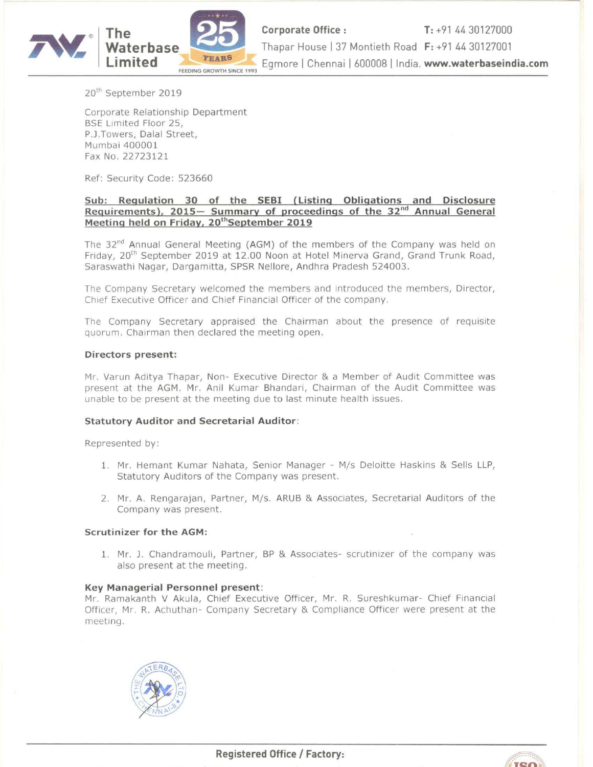

**Corporate Office :** T: +91 44 30127000<br>Thapar House | 37 Montieth Road F: +91 44 30127001 Egmore | Chennai | 600008 | India. www.waterbaseindia.com

20'h September 2019

Corporate Relationship Department BSE Limited Floor 25, P.J.Towers, Dalal Street, Mumbai 400001 Fax No. 22723121

Ref: Security Code: 523660

# Sub: Regulation 30 of the SEBI (Listing Obligations and Disclosure Requirements), 2015– Summary of proceedings of the 32<sup>nd</sup> Annual General Meeting held on Friday, 20<sup>th</sup>September 2019

The  $32<sup>nd</sup>$  Annual General Meeting (AGM) of the members of the Company was held on Friday, 20<sup>th</sup> September 2019 at 12.00 Noon at Hotel Minerva Grand, Grand Trunk Road, Saraswathi Nagar, Dargamitta, SPSR Nellore, Andhra Pradesh 524003.

The Company Secretary welcomed the members and introduced the members, Director, Chief Executive Officer and Chief Financial Officer of the company.

The Company Secretary appraised the Chairman about the presence of requisite quorum. Chairman then declared the meeting open.

## Directors present:

Mr. Varun Aditya Thapar, Non» Executive Director & <sup>a</sup> Member of Audit Committee was present at the AGM. Mr. Anil Kumar Bhandari, Chairman of the Audit Committee was unable to be present at the meeting due to last minute health issues.

### Statutory Auditor and Secretarial Auditor:

Represented by:

- 1. Mr. Hemant Kumar Nahata, Senior Manager M/s Deloitte Haskins & Sells LLP, Statutory Auditors of the Company was present.
- 2. Mr. A. Rengarajan, Partner, M/s. ARUB & Associates, Secretarial Auditors of the Company was present.

#### Scrutinizer for the AGM:

1. Mr. J. Chandramouli, Partner, BP & Associates- scrutinizer of the company was also present at the meeting.

#### Key Managerial Personnel present:

Mr. Ramakanth V Akula, Chief Executive Officer, Mr. R. Sureshkumar- Chief Financial Officer, Mr. R. Achuthan- Company Secretary & Compliance Officer were present at the meeting.